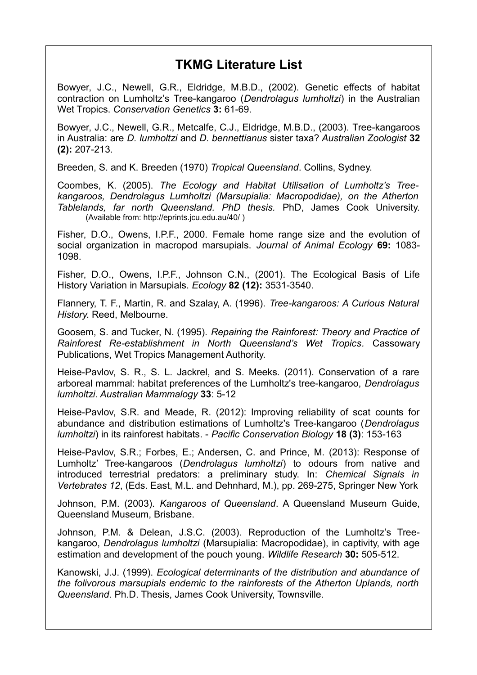## **TKMG Literature List**

Bowyer, J.C., Newell, G.R., Eldridge, M.B.D., (2002). Genetic effects of habitat contraction on Lumholtz's Tree-kangaroo (*Dendrolagus lumholtzi*) in the Australian Wet Tropics. *Conservation Genetics* **3:** 61-69.

Bowyer, J.C., Newell, G.R., Metcalfe, C.J., Eldridge, M.B.D., (2003). Tree-kangaroos in Australia: are *D. lumholtzi* and *D. bennettianus* sister taxa? *Australian Zoologist* **32 (2):** 207-213.

Breeden, S. and K. Breeden (1970) *Tropical Queensland*. Collins, Sydney.

Coombes, K. (2005). *The Ecology and Habitat Utilisation of Lumholtz's Treekangaroos, Dendrolagus Lumholtzi (Marsupialia: Macropodidae), on the Atherton Tablelands, far north Queensland. PhD thesis.* PhD, James Cook University. (Available from: http://eprints.jcu.edu.au/40/ )

Fisher, D.O., Owens, I.P.F., 2000. Female home range size and the evolution of social organization in macropod marsupials. *Journal of Animal Ecology* **69:** 1083- 1098.

Fisher, D.O., Owens, I.P.F., Johnson C.N., (2001). The Ecological Basis of Life History Variation in Marsupials. *Ecology* **82 (12):** 3531-3540.

Flannery, T. F., Martin, R. and Szalay, A. (1996). *Tree-kangaroos: A Curious Natural History*. Reed, Melbourne.

Goosem, S. and Tucker, N. (1995). *Repairing the Rainforest: Theory and Practice of Rainforest Re-establishment in North Queensland's Wet Tropics.* Cassowary Publications, Wet Tropics Management Authority.

Heise-Pavlov, S. R., S. L. Jackrel, and S. Meeks. (2011). Conservation of a rare arboreal mammal: habitat preferences of the Lumholtz's tree-kangaroo, *Dendrolagus lumholtzi*. *Australian Mammalogy* **33**: 5-12

Heise-Pavlov, S.R. and Meade, R. (2012): Improving reliability of scat counts for abundance and distribution estimations of Lumholtz's Tree-kangaroo (*Dendrolagus lumholtzi*) in its rainforest habitats. - *Pacific Conservation Biology* **18 (3)**: 153-163

Heise-Pavlov, S.R.; Forbes, E.; Andersen, C. and Prince, M. (2013): Response of Lumholtz' Tree-kangaroos (*Dendrolagus lumholtzi*) to odours from native and introduced terrestrial predators: a preliminary study. In: *Chemical Signals in Vertebrates 12*, (Eds. East, M.L. and Dehnhard, M.), pp. 269-275, Springer New York

Johnson, P.M. (2003). *Kangaroos of Queensland*. A Queensland Museum Guide, Queensland Museum, Brisbane.

Johnson, P.M. & Delean, J.S.C. (2003). Reproduction of the Lumholtz's Treekangaroo, *Dendrolagus lumholtzi* (Marsupialia: Macropodidae), in captivity, with age estimation and development of the pouch young. *Wildlife Research* **30:** 505-512.

Kanowski, J.J. (1999). *Ecological determinants of the distribution and abundance of the folivorous marsupials endemic to the rainforests of the Atherton Uplands, north Queensland*. Ph.D. Thesis, James Cook University, Townsville.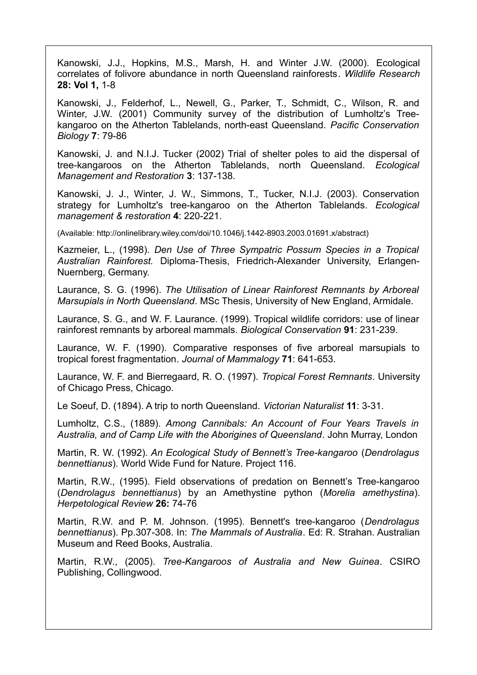Kanowski, J.J., Hopkins, M.S., Marsh, H. and Winter J.W. (2000). Ecological correlates of folivore abundance in north Queensland rainforests. *Wildlife Research* **28: Vol 1,** 1-8

Kanowski, J., Felderhof, L., Newell, G., Parker, T., Schmidt, C., Wilson, R. and Winter, J.W. (2001) Community survey of the distribution of Lumholtz's Treekangaroo on the Atherton Tablelands, north-east Queensland. *Pacific Conservation Biology* **7**: 79-86

Kanowski, J. and N.I.J. Tucker (2002) Trial of shelter poles to aid the dispersal of tree-kangaroos on the Atherton Tablelands, north Queensland. *Ecological Management and Restoration* **3**: 137-138.

Kanowski, J. J., Winter, J. W., Simmons, T., Tucker, N.I.J. (2003). Conservation strategy for Lumholtz's tree-kangaroo on the Atherton Tablelands. *Ecological management & restoration* **4**: 220-221.

(Available: http://onlinelibrary.wiley.com/doi/10.1046/j.1442-8903.2003.01691.x/abstract)

Kazmeier, L., (1998). *Den Use of Three Sympatric Possum Species in a Tropical Australian Rainforest.* Diploma-Thesis, Friedrich-Alexander University, Erlangen-Nuernberg, Germany.

Laurance, S. G. (1996). *The Utilisation of Linear Rainforest Remnants by Arboreal Marsupials in North Queensland*. MSc Thesis, University of New England, Armidale.

Laurance, S. G., and W. F. Laurance. (1999). Tropical wildlife corridors: use of linear rainforest remnants by arboreal mammals. *Biological Conservation* **91**: 231-239.

Laurance, W. F. (1990). Comparative responses of five arboreal marsupials to tropical forest fragmentation. *Journal of Mammalogy* **71**: 641-653.

Laurance, W. F. and Bierregaard, R. O. (1997). *Tropical Forest Remnants*. University of Chicago Press, Chicago.

Le Soeuf, D. (1894). A trip to north Queensland. *Victorian Naturalist* **11**: 3-31.

Lumholtz, C.S., (1889). *Among Cannibals: An Account of Four Years Travels in Australia, and of Camp Life with the Aborigines of Queensland*. John Murray, London

Martin, R. W. (1992). *An Ecological Study of Bennett's Tree-kangaroo* (*Dendrolagus bennettianus*). World Wide Fund for Nature. Project 116.

Martin, R.W., (1995). Field observations of predation on Bennett's Tree-kangaroo (*Dendrolagus bennettianus*) by an Amethystine python (*Morelia amethystina*). *Herpetological Review* **26:** 74-76

Martin, R.W. and P. M. Johnson. (1995). Bennett's tree-kangaroo (*Dendrolagus bennettianus*). Pp.307-308. In: *The Mammals of Australia*. Ed: R. Strahan. Australian Museum and Reed Books, Australia.

Martin, R.W., (2005). *Tree-Kangaroos of Australia and New Guinea*. CSIRO Publishing, Collingwood.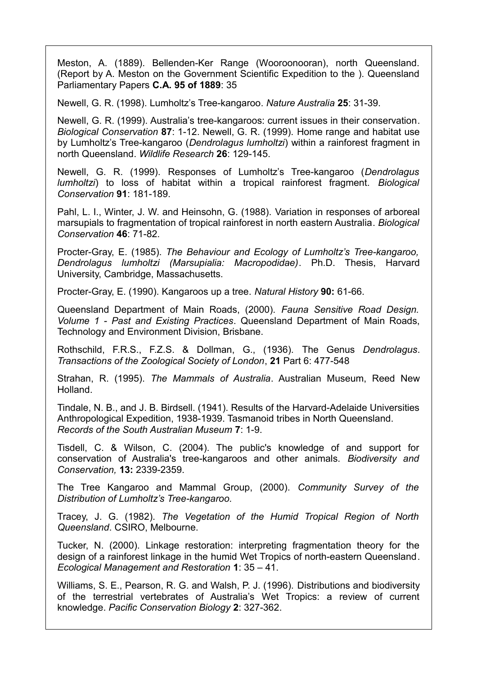Meston, A. (1889). Bellenden-Ker Range (Wooroonooran), north Queensland. (Report by A. Meston on the Government Scientific Expedition to the ). Queensland Parliamentary Papers **C.A. 95 of 1889**: 35

Newell, G. R. (1998). Lumholtz's Tree-kangaroo. *Nature Australia* **25**: 31-39.

Newell, G. R. (1999). Australia's tree-kangaroos: current issues in their conservation. *Biological Conservation* **87**: 1-12. Newell, G. R. (1999). Home range and habitat use by Lumholtz's Tree-kangaroo (*Dendrolagus lumholtzi*) within a rainforest fragment in north Queensland. *Wildlife Research* **26**: 129-145.

Newell, G. R. (1999). Responses of Lumholtz's Tree-kangaroo (*Dendrolagus lumholtzi*) to loss of habitat within a tropical rainforest fragment. *Biological Conservation* **91**: 181-189.

Pahl, L. I., Winter, J. W. and Heinsohn, G. (1988). Variation in responses of arboreal marsupials to fragmentation of tropical rainforest in north eastern Australia. *Biological Conservation* **46**: 71-82.

Procter-Gray, E. (1985). *The Behaviour and Ecology of Lumholtz's Tree-kangaroo, Dendrolagus lumholtzi (Marsupialia: Macropodidae)*. Ph.D. Thesis, Harvard University, Cambridge, Massachusetts.

Procter-Gray, E. (1990). Kangaroos up a tree. *Natural History* **90:** 61-66.

Queensland Department of Main Roads, (2000). *Fauna Sensitive Road Design. Volume 1 - Past and Existing Practices*. Queensland Department of Main Roads, Technology and Environment Division, Brisbane.

Rothschild, F.R.S., F.Z.S. & Dollman, G., (1936). The Genus *Dendrolagus*. *Transactions of the Zoological Society of London*, **21** Part 6: 477-548

Strahan, R. (1995). *The Mammals of Australia*. Australian Museum, Reed New Holland.

Tindale, N. B., and J. B. Birdsell. (1941). Results of the Harvard-Adelaide Universities Anthropological Expedition, 1938-1939. Tasmanoid tribes in North Queensland. *Records of the South Australian Museum* **7**: 1-9.

Tisdell, C. & Wilson, C. (2004). The public's knowledge of and support for conservation of Australia's tree-kangaroos and other animals. *Biodiversity and Conservation,* **13:** 2339-2359.

The Tree Kangaroo and Mammal Group, (2000). *Community Survey of the Distribution of Lumholtz's Tree-kangaroo.*

Tracey, J. G. (1982). *The Vegetation of the Humid Tropical Region of North Queensland*. CSIRO, Melbourne.

Tucker, N. (2000). Linkage restoration: interpreting fragmentation theory for the design of a rainforest linkage in the humid Wet Tropics of north-eastern Queensland. *Ecological Management and Restoration* **1**: 35 – 41.

Williams, S. E., Pearson, R. G. and Walsh, P. J. (1996). Distributions and biodiversity of the terrestrial vertebrates of Australia's Wet Tropics: a review of current knowledge. *Pacific Conservation Biology* **2**: 327-362.